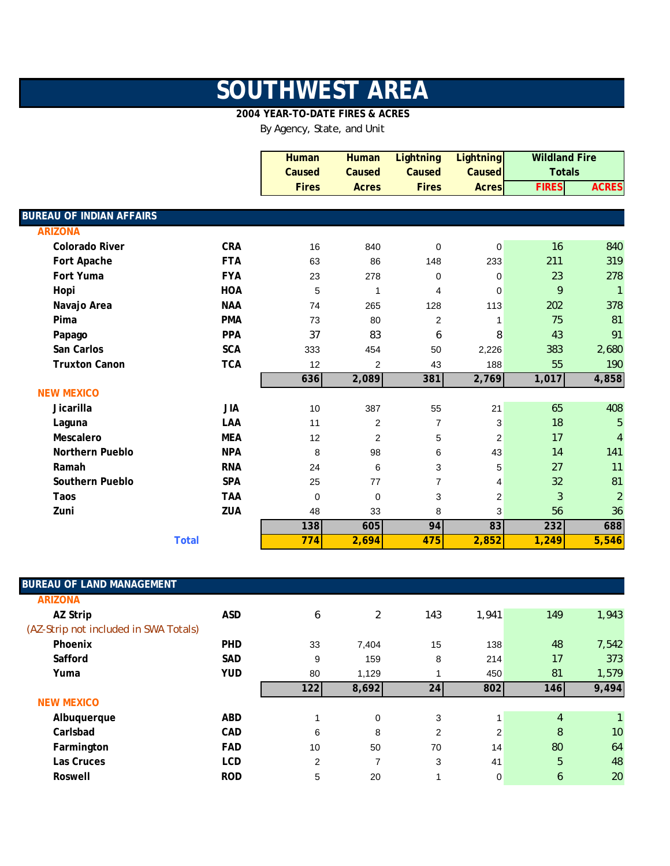## **SOUTHWEST AREA**

## **2004 YEAR-TO-DATE FIRES & ACRES**

By Agency, State, and Unit

|                                 |              | <b>Human</b> | <b>Human</b>   | <b>Lightning</b> | <b>Lightning</b> |              | <b>Wildland Fire</b> |
|---------------------------------|--------------|--------------|----------------|------------------|------------------|--------------|----------------------|
|                                 |              | Caused       | Caused         | Caused           | Caused           |              | <b>Totals</b>        |
|                                 |              | <b>Fires</b> | <b>Acres</b>   | <b>Fires</b>     | <b>Acres</b>     | <b>FIRES</b> | <b>ACRES</b>         |
|                                 |              |              |                |                  |                  |              |                      |
| <b>BUREAU OF INDIAN AFFAIRS</b> |              |              |                |                  |                  |              |                      |
| <b>ARIZONA</b>                  |              |              |                |                  |                  |              |                      |
| <b>Colorado River</b>           | <b>CRA</b>   | 16           | 840            | $\mathbf 0$      | $\overline{0}$   | 16           | 840                  |
| Fort Apache                     | <b>FTA</b>   | 63           | 86             | 148              | 233              | 211          | 319                  |
| Fort Yuma                       | <b>FYA</b>   | 23           | 278            | 0                | 0                | 23           | 278                  |
| Hopi                            | <b>HOA</b>   | 5            | 1              | 4                | $\mathbf 0$      | 9            | $\mathbf{1}$         |
| Navajo Area                     | <b>NAA</b>   | 74           | 265            | 128              | 113              | 202          | 378                  |
| Pima                            | <b>PMA</b>   | 73           | 80             | 2                | $\mathbf{1}$     | 75           | 81                   |
| Papago                          | <b>PPA</b>   | 37           | 83             | 6                | 8                | 43           | 91                   |
| San Carlos                      | <b>SCA</b>   | 333          | 454            | 50               | 2,226            | 383          | 2,680                |
| <b>Truxton Canon</b>            | <b>TCA</b>   | 12           | $\overline{2}$ | 43               | 188              | 55           | 190                  |
|                                 |              | 636          | 2,089          | 381              | 2,769            | 1,017        | 4,858                |
| <b>NEW MEXICO</b>               |              |              |                |                  |                  |              |                      |
| Jicarilla                       | <b>JIA</b>   | 10           | 387            | 55               | 21               | 65           | 408                  |
| Laguna                          | LAA          | 11           | $\overline{2}$ | $\overline{7}$   | 3                | 18           | 5                    |
| Mescalero                       | <b>MEA</b>   | 12           | $\overline{2}$ | 5                | 2                | 17           | $\overline{4}$       |
| <b>Northern Pueblo</b>          | <b>NPA</b>   | 8            | 98             | 6                | 43               | 14           | 141                  |
| Ramah                           | <b>RNA</b>   | 24           | 6              | 3                | 5                | 27           | 11                   |
| Southern Pueblo                 | <b>SPA</b>   | 25           | 77             | $\overline{7}$   | 4                | 32           | 81                   |
| Taos                            | <b>TAA</b>   | 0            | $\mathbf 0$    | 3                | $\overline{c}$   | 3            | $\overline{2}$       |
| Zuni                            | ZUA          | 48           | 33             | 8                | 3                | 56           | 36                   |
|                                 |              | 138          | 605            | 94               | 83               | 232          | 688                  |
|                                 | <b>Total</b> | 774          | 2,694          | 475              | 2,852            | 1,249        | 5,546                |

| <b>BUREAU OF LAND MANAGEMENT</b>      |                |                |                 |       |                |              |
|---------------------------------------|----------------|----------------|-----------------|-------|----------------|--------------|
|                                       |                |                |                 |       |                |              |
| <b>ASD</b>                            | 6              | $\overline{2}$ | 143             | 1,941 | 149            | 1,943        |
| (AZ-Strip not included in SWA Totals) |                |                |                 |       |                |              |
| <b>PHD</b>                            | 33             | 7,404          | 15              | 138   | 48             | 7,542        |
| <b>SAD</b>                            | 9              | 159            | 8               | 214   | 17             | 373          |
| <b>YUD</b>                            | 80             | 1,129          | 1               | 450   | 81             | 1,579        |
|                                       | 122            | 8,692          | 24 <sub>l</sub> | 802   | 146            | 9,494        |
|                                       |                |                |                 |       |                |              |
|                                       |                |                |                 |       |                |              |
| <b>ABD</b>                            | 1              | 0              | 3               |       | $\overline{4}$ | $\mathbf{1}$ |
| <b>CAD</b>                            | 6              | 8              | 2               | 2     | 8              | 10           |
| <b>FAD</b>                            | 10             | 50             | 70              | 14    | 80             | 64           |
| <b>LCD</b>                            | $\overline{2}$ | 7              | 3               | 41    | 5              | 48           |
|                                       |                |                |                 |       |                |              |

I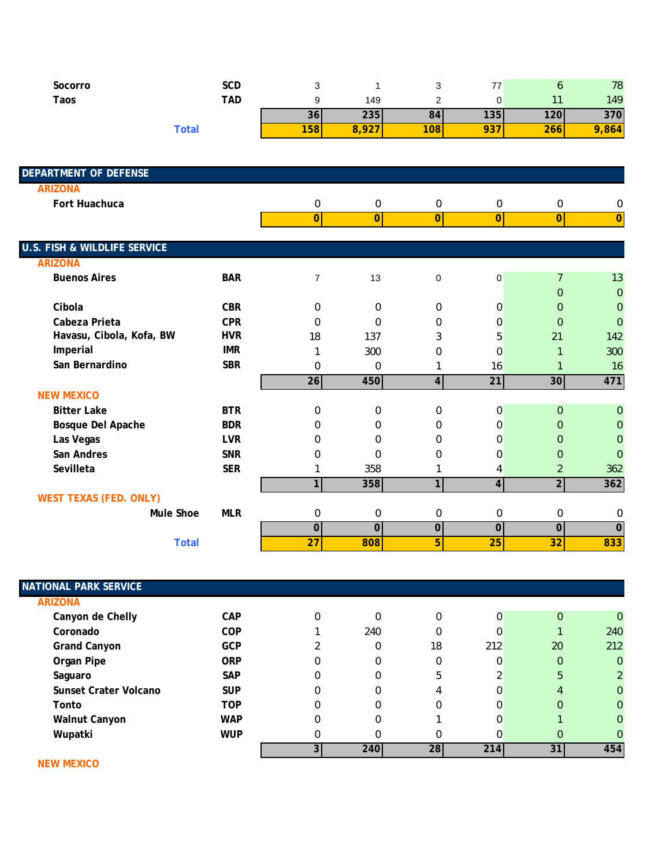| Socorro | SCD          | ັ                    |     | u   | $\rightarrow$    |     | 78  |
|---------|--------------|----------------------|-----|-----|------------------|-----|-----|
| Taos    | TAD          |                      | 149 |     |                  |     | 149 |
|         |              | 30                   | 235 | 84I | 135 <sub>l</sub> | 120 | 370 |
|         | <b>Total</b> | 100<br><u> 1581 </u> | --- | 108 | 791              | 266 | 864 |

| <b>DEPARTMENT OF DEFENSE</b>            |            |                |                         |                |                |                |                |
|-----------------------------------------|------------|----------------|-------------------------|----------------|----------------|----------------|----------------|
| <b>ARIZONA</b>                          |            |                |                         |                |                |                |                |
| Fort Huachuca                           |            | 0              | 0                       | 0              | 0              | $\mathbf 0$    | 0              |
|                                         |            | $\overline{0}$ | $\overline{0}$          | $\overline{0}$ | $\overline{0}$ | $\overline{0}$ | $\overline{0}$ |
| <b>U.S. FISH &amp; WILDLIFE SERVICE</b> |            |                |                         |                |                |                |                |
| <b>ARIZONA</b>                          |            |                |                         |                |                |                |                |
| <b>Buenos Aires</b>                     | <b>BAR</b> | $\overline{7}$ | 13                      | $\mathbf 0$    | $\mathbf 0$    | $\overline{7}$ | 13             |
|                                         |            |                |                         |                |                | $\Omega$       | $\overline{0}$ |
| Cibola                                  | <b>CBR</b> | $\Omega$       | 0                       | 0              | 0              | $\Omega$       | 0              |
| Cabeza Prieta                           | <b>CPR</b> | $\Omega$       | $\Omega$                | $\Omega$       | 0              | $\Omega$       | $\overline{0}$ |
| Havasu, Cibola, Kofa, BW                | <b>HVR</b> | 18             | 137                     | 3              | 5              | 21             | 142            |
| Imperial                                | <b>IMR</b> | 1              | 300                     | 0              | 0              | $\mathbf{1}$   | 300            |
| San Bernardino                          | <b>SBR</b> | 0              | 0                       | 1              | 16             | $\mathbf{1}$   | 16             |
|                                         |            | 26             | 450                     | 4              | 21             | 30             | 471            |
| <b>NEW MEXICO</b>                       |            |                |                         |                |                |                |                |
| <b>Bitter Lake</b>                      | <b>BTR</b> | $\Omega$       | 0                       | $\Omega$       | 0              | $\Omega$       | 0              |
| Bosque Del Apache                       | <b>BDR</b> | $\Omega$       | 0                       | $\Omega$       | 0              | $\Omega$       | 0              |
| Las Vegas                               | <b>LVR</b> | 0              | 0                       | $\Omega$       | 0              | $\Omega$       | $\Omega$       |
| San Andres                              | <b>SNR</b> | 0              | $\Omega$                | 0              | 0              | $\Omega$       | 0              |
| Sevilleta                               | <b>SER</b> | 1              | 358                     | 1              | 4              | $\overline{2}$ | 362            |
|                                         |            | $\mathbf{1}$   | 358                     | 1              | $\overline{4}$ | $\overline{2}$ | 362            |
| <b>WEST TEXAS (FED. ONLY)</b>           |            |                |                         |                |                |                |                |
| <b>Mule Shoe</b>                        | <b>MLR</b> | 0              | 0                       | 0              | 0              | 0              | 0              |
|                                         |            | $\overline{0}$ | $\overline{\mathbf{0}}$ | $\mathbf 0$    | $\mathbf 0$    | 0              | $\overline{0}$ |
| <b>Total</b>                            |            | 27             | 808                     | 5              | 25             | 32             | 833            |

| <b>NATIONAL PARK SERVICE</b> |            |   |     |          |     |          |                |
|------------------------------|------------|---|-----|----------|-----|----------|----------------|
| <b>ARIZONA</b>               |            |   |     |          |     |          |                |
| Canyon de Chelly             | <b>CAP</b> |   |     | $\Omega$ | 0   | $\Omega$ | $\Omega$       |
| Coronado                     | <b>COP</b> |   | 240 | 0        | 0   |          | 240            |
| <b>Grand Canyon</b>          | <b>GCP</b> |   | 0   | 18       | 212 | 20       | 212            |
| Organ Pipe                   | <b>ORP</b> | 0 | 0   | 0        | 0   | $\Omega$ | $\mathbf{0}$   |
| Saguaro                      | <b>SAP</b> | 0 | 0   | 5        |     | 5        | $\overline{2}$ |
| Sunset Crater Volcano        | <b>SUP</b> | 0 | 0   | 4        | 0   | 4        | $\mathbf{0}$   |
| Tonto                        | <b>TOP</b> | 0 | 0   | $\Omega$ | 0   | $\Omega$ | 0              |
| <b>Walnut Canyon</b>         | <b>WAP</b> | 0 | 0   |          | ი   |          | $\Omega$       |
| Wupatki                      | <b>WUP</b> | 0 |     | 0        | U   | 0        | 0              |
|                              |            |   | 240 | 28       | 214 | 31       | 454            |

 **NEW MEXICO**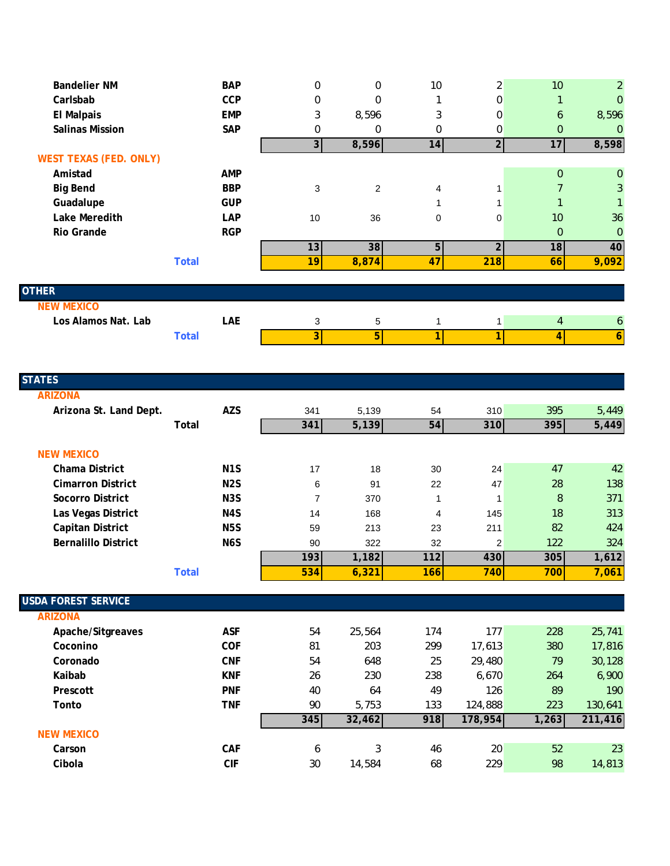| <b>Bandelier NM</b>           |              | <b>BAP</b> | $\mathbf 0$             | $\mathbf 0$    | 10           | 2              | 10             | 2                |
|-------------------------------|--------------|------------|-------------------------|----------------|--------------|----------------|----------------|------------------|
| Carlsbab                      |              | CCP        | $\mathbf{0}$            | $\mathbf 0$    |              | 0              |                | $\Omega$         |
| <b>El Malpais</b>             |              | <b>EMP</b> | 3                       | 8,596          | 3            | 0              | 6              | 8,596            |
| <b>Salinas Mission</b>        |              | SAP        | $\Omega$                | $\mathbf 0$    | 0            | 0              | $\Omega$       | $\mathbf 0$      |
|                               |              |            | $\overline{\mathbf{3}}$ | 8,596          | 14           | $\overline{2}$ | 17             | 8,598            |
| <b>WEST TEXAS (FED. ONLY)</b> |              |            |                         |                |              |                |                |                  |
| Amistad                       |              | <b>AMP</b> |                         |                |              |                | $\Omega$       | $\overline{0}$   |
| <b>Big Bend</b>               |              | <b>BBP</b> | 3                       | 2              | 4            |                |                | 3                |
| Guadalupe                     |              | <b>GUP</b> |                         |                |              |                |                |                  |
| Lake Meredith                 |              | LAP        | 10                      | 36             | 0            | 0              | 10             | 36               |
| Rio Grande                    |              | <b>RGP</b> |                         |                |              |                | $\Omega$       | $\mathbf 0$      |
|                               |              |            | 13                      | 38             | 5            | $\overline{2}$ | 18             | 40               |
|                               | <b>Total</b> |            | 19                      | 8,874          | 47           | 218            | 66             | 9,092            |
|                               |              |            |                         |                |              |                |                |                  |
| <b>OTHER</b>                  |              |            |                         |                |              |                |                |                  |
| <b>NEW MEXICO</b>             |              |            |                         |                |              |                |                |                  |
| Los Alamos Nat. Lab           |              | LAE        | 3                       | 5              |              |                | $\overline{4}$ | $\boldsymbol{6}$ |
|                               | <b>Total</b> |            | 3 <sup>1</sup>          | $\overline{5}$ | $\mathbf{1}$ | 1              | 4              | 6                |
|                               |              |            |                         |                |              |                |                |                  |

| <b>STATES</b>              |                  |     |        |     |                |       |         |
|----------------------------|------------------|-----|--------|-----|----------------|-------|---------|
| <b>ARIZONA</b>             |                  |     |        |     |                |       |         |
| Arizona St. Land Dept.     | <b>AZS</b>       | 341 | 5,139  | 54  | 310            | 395   | 5,449   |
|                            | <b>Total</b>     | 341 | 5,139  | 54  | 310            | 395   | 5,449   |
| <b>NEW MEXICO</b>          |                  |     |        |     |                |       |         |
| Chama District             | N <sub>1</sub> S | 17  | 18     | 30  | 24             | 47    | 42      |
| <b>Cimarron District</b>   | N <sub>2</sub> S | 6   | 91     | 22  | 47             | 28    | 138     |
| Socorro District           | N <sub>3</sub> S | 7   | 370    | 1   | $\mathbf{1}$   | 8     | 371     |
| Las Vegas District         | N <sub>4</sub> S | 14  | 168    | 4   | 145            | 18    | 313     |
| Capitan District           | <b>N5S</b>       | 59  | 213    | 23  | 211            | 82    | 424     |
| <b>Bernalillo District</b> | N <sub>6</sub> S | 90  | 322    | 32  | $\overline{2}$ | 122   | 324     |
|                            |                  | 193 | 1,182  | 112 | 430            | 305   | 1,612   |
|                            | <b>Total</b>     | 534 | 6,321  | 166 | 740            | 700   | 7,061   |
|                            |                  |     |        |     |                |       |         |
| <b>USDA FOREST SERVICE</b> |                  |     |        |     |                |       |         |
| <b>ARIZONA</b>             |                  |     |        |     |                |       |         |
| Apache/Sitgreaves          | <b>ASF</b>       | 54  | 25,564 | 174 | 177            | 228   | 25,741  |
| Coconino                   | COF              | 81  | 203    | 299 | 17,613         | 380   | 17,816  |
| Coronado                   | <b>CNF</b>       | 54  | 648    | 25  | 29,480         | 79    | 30,128  |
| Kaibab                     | <b>KNF</b>       | 26  | 230    | 238 | 6,670          | 264   | 6,900   |
| Prescott                   | <b>PNF</b>       | 40  | 64     | 49  | 126            | 89    | 190     |
| Tonto                      | <b>TNF</b>       | 90  | 5,753  | 133 | 124,888        | 223   | 130,641 |
|                            |                  | 345 | 32,462 | 918 | 178,954        | 1,263 | 211,416 |
| <b>NEW MEXICO</b>          |                  |     |        |     |                |       |         |
| Carson                     | CAF              | 6   | 3      | 46  | 20             | 52    | 23      |
| Cibola                     | <b>CIF</b>       | 30  | 14,584 | 68  | 229            | 98    | 14,813  |
|                            |                  |     |        |     |                |       |         |